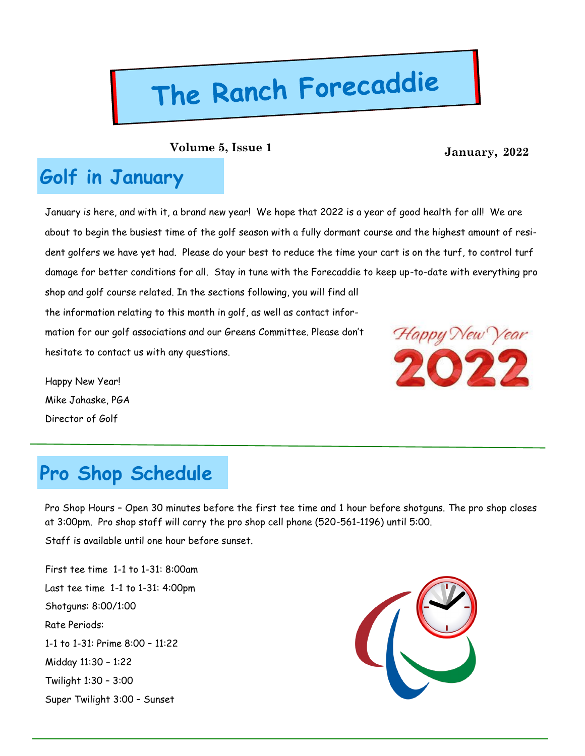# The Ranch Forecaddie

**January, 2022 Volume 5, Issue 1**

### **Golf in January**

January is here, and with it, a brand new year! We hope that 2022 is a year of good health for all! We are about to begin the busiest time of the golf season with a fully dormant course and the highest amount of resident golfers we have yet had. Please do your best to reduce the time your cart is on the turf, to control turf damage for better conditions for all. Stay in tune with the Forecaddie to keep up-to-date with everything pro shop and golf course related. In the sections following, you will find all the information relating to this month in golf, as well as contact infor-

mation for our golf associations and our Greens Committee. Please don't hesitate to contact us with any questions.

Happy New Year! Mike Jahaske, PGA Director of Golf



# **Pro Shop Schedule**

Pro Shop Hours – Open 30 minutes before the first tee time and 1 hour before shotguns. The pro shop closes at 3:00pm. Pro shop staff will carry the pro shop cell phone (520-561-1196) until 5:00.

Staff is available until one hour before sunset.

First tee time 1-1 to 1-31: 8:00am Last tee time 1-1 to 1-31: 4:00pm Shotguns: 8:00/1:00 Rate Periods: 1-1 to 1-31: Prime 8:00 – 11:22 Midday 11:30 – 1:22 Twilight 1:30 – 3:00 Super Twilight 3:00 – Sunset

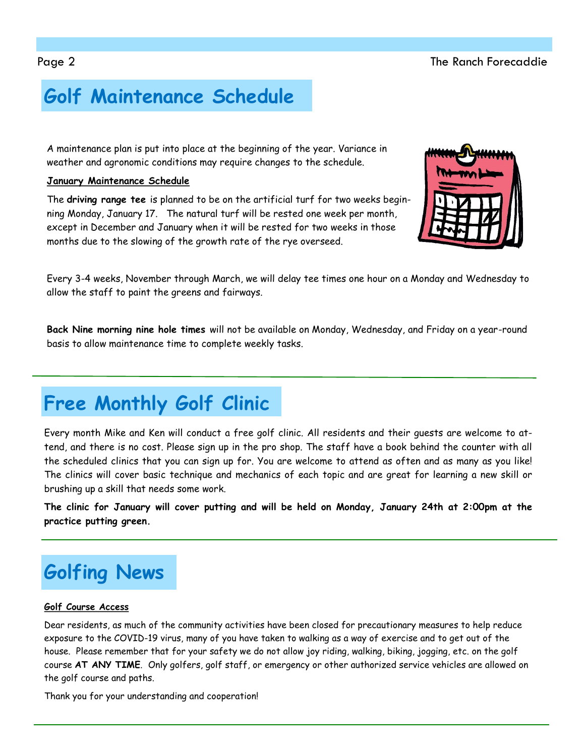# **Golf Maintenance Schedule**

A maintenance plan is put into place at the beginning of the year. Variance in weather and agronomic conditions may require changes to the schedule.

### **January Maintenance Schedule**

The **driving range tee** is planned to be on the artificial turf for two weeks beginning Monday, January 17. The natural turf will be rested one week per month, except in December and January when it will be rested for two weeks in those months due to the slowing of the growth rate of the rye overseed.

Every 3-4 weeks, November through March, we will delay tee times one hour on a Monday and Wednesday to allow the staff to paint the greens and fairways.

**Back Nine morning nine hole times** will not be available on Monday, Wednesday, and Friday on a year-round basis to allow maintenance time to complete weekly tasks.

# **Free Monthly Golf Clinic**

Every month Mike and Ken will conduct a free golf clinic. All residents and their guests are welcome to attend, and there is no cost. Please sign up in the pro shop. The staff have a book behind the counter with all the scheduled clinics that you can sign up for. You are welcome to attend as often and as many as you like! The clinics will cover basic technique and mechanics of each topic and are great for learning a new skill or brushing up a skill that needs some work.

**The clinic for January will cover putting and will be held on Monday, January 24th at 2:00pm at the practice putting green.** 

# **Golfing News**

### **Golf Course Access**

Dear residents, as much of the community activities have been closed for precautionary measures to help reduce exposure to the COVID-19 virus, many of you have taken to walking as a way of exercise and to get out of the house. Please remember that for your safety we do not allow joy riding, walking, biking, jogging, etc. on the golf course **AT ANY TIME**. Only golfers, golf staff, or emergency or other authorized service vehicles are allowed on the golf course and paths.

Thank you for your understanding and cooperation!

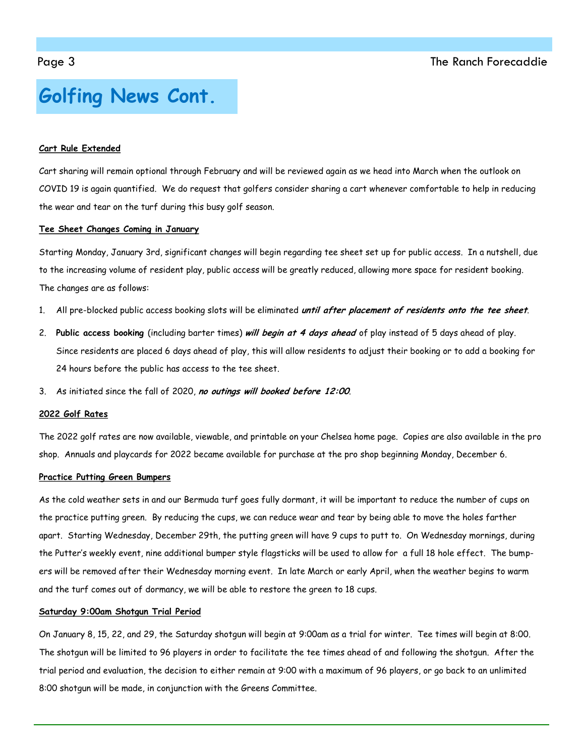### **Golfing News Cont.**

### **Cart Rule Extended**

Cart sharing will remain optional through February and will be reviewed again as we head into March when the outlook on COVID 19 is again quantified. We do request that golfers consider sharing a cart whenever comfortable to help in reducing the wear and tear on the turf during this busy golf season.

### **Tee Sheet Changes Coming in January**

Starting Monday, January 3rd, significant changes will begin regarding tee sheet set up for public access. In a nutshell, due to the increasing volume of resident play, public access will be greatly reduced, allowing more space for resident booking. The changes are as follows:

- 1. All pre-blocked public access booking slots will be eliminated **until after placement of residents onto the tee sheet**.
- 2. **Public access booking** (including barter times) **will begin at 4 days ahead** of play instead of 5 days ahead of play. Since residents are placed 6 days ahead of play, this will allow residents to adjust their booking or to add a booking for 24 hours before the public has access to the tee sheet.
- 3. As initiated since the fall of 2020, **no outings will booked before 12:00**.

#### **2022 Golf Rates**

The 2022 golf rates are now available, viewable, and printable on your Chelsea home page. Copies are also available in the pro shop. Annuals and playcards for 2022 became available for purchase at the pro shop beginning Monday, December 6.

#### **Practice Putting Green Bumpers**

As the cold weather sets in and our Bermuda turf goes fully dormant, it will be important to reduce the number of cups on the practice putting green. By reducing the cups, we can reduce wear and tear by being able to move the holes farther apart. Starting Wednesday, December 29th, the putting green will have 9 cups to putt to. On Wednesday mornings, during the Putter's weekly event, nine additional bumper style flagsticks will be used to allow for a full 18 hole effect. The bumpers will be removed after their Wednesday morning event. In late March or early April, when the weather begins to warm and the turf comes out of dormancy, we will be able to restore the green to 18 cups.

#### **Saturday 9:00am Shotgun Trial Period**

On January 8, 15, 22, and 29, the Saturday shotgun will begin at 9:00am as a trial for winter. Tee times will begin at 8:00. The shotgun will be limited to 96 players in order to facilitate the tee times ahead of and following the shotgun. After the trial period and evaluation, the decision to either remain at 9:00 with a maximum of 96 players, or go back to an unlimited 8:00 shotgun will be made, in conjunction with the Greens Committee.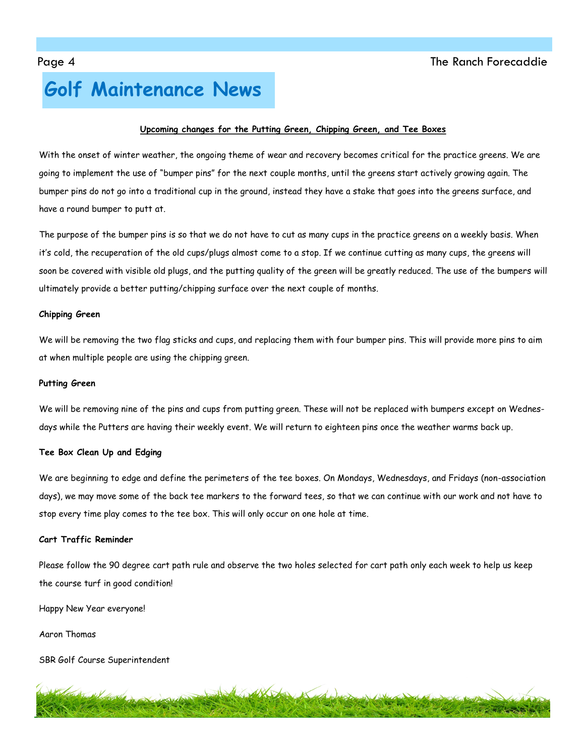### **Golf Maintenance News**

#### **Upcoming changes for the Putting Green, Chipping Green, and Tee Boxes**

With the onset of winter weather, the ongoing theme of wear and recovery becomes critical for the practice greens. We are going to implement the use of "bumper pins" for the next couple months, until the greens start actively growing again. The bumper pins do not go into a traditional cup in the ground, instead they have a stake that goes into the greens surface, and have a round bumper to putt at.

The purpose of the bumper pins is so that we do not have to cut as many cups in the practice greens on a weekly basis. When it's cold, the recuperation of the old cups/plugs almost come to a stop. If we continue cutting as many cups, the greens will soon be covered with visible old plugs, and the putting quality of the green will be greatly reduced. The use of the bumpers will ultimately provide a better putting/chipping surface over the next couple of months.

#### **Chipping Green**

We will be removing the two flag sticks and cups, and replacing them with four bumper pins. This will provide more pins to aim at when multiple people are using the chipping green.

#### **Putting Green**

We will be removing nine of the pins and cups from putting green. These will not be replaced with bumpers except on Wednesdays while the Putters are having their weekly event. We will return to eighteen pins once the weather warms back up.

#### **Tee Box Clean Up and Edging**

We are beginning to edge and define the perimeters of the tee boxes. On Mondays, Wednesdays, and Fridays (non-association days), we may move some of the back tee markers to the forward tees, so that we can continue with our work and not have to stop every time play comes to the tee box. This will only occur on one hole at time.

#### **Cart Traffic Reminder**

Please follow the 90 degree cart path rule and observe the two holes selected for cart path only each week to help us keep the course turf in good condition!

Happy New Year everyone!

Aaron Thomas

SBR Golf Course Superintendent